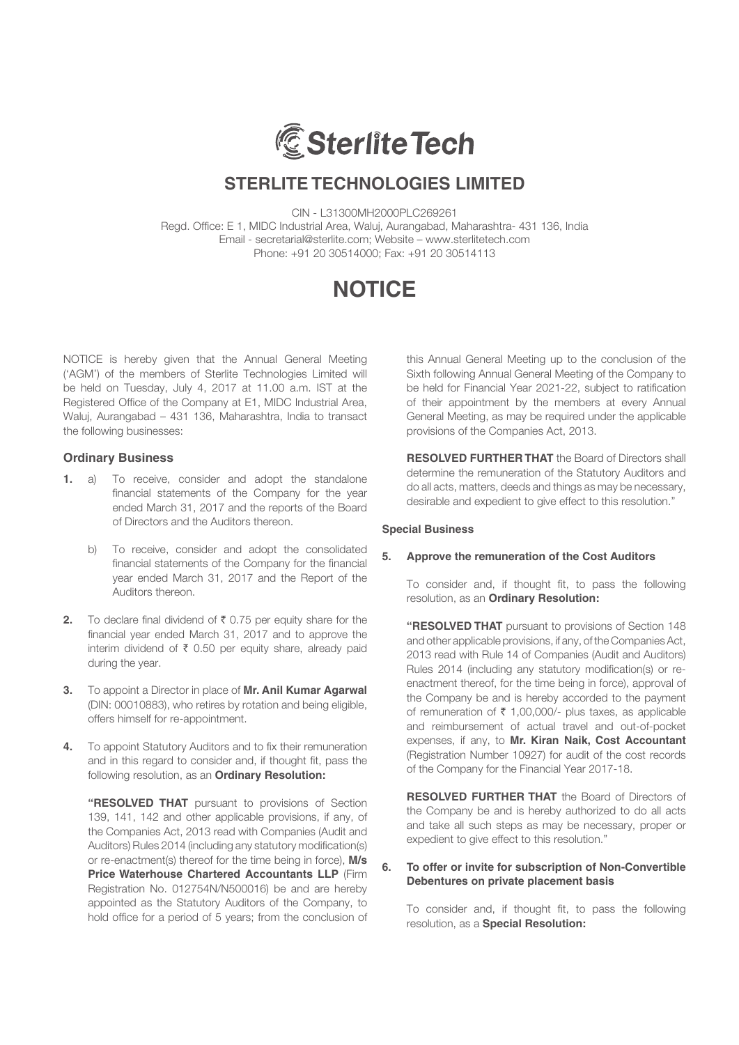

CIN - L31300MH2000PLC269261 Regd. Office: E 1, MIDC Industrial Area, Waluj, Aurangabad, Maharashtra- 431 136, India Email - secretarial@sterlite.com; Website – www.sterlitetech.com Phone: +91 20 30514000; Fax: +91 20 30514113

## **NOTICE**

NOTICE is hereby given that the Annual General Meeting ('AGM') of the members of Sterlite Technologies Limited will be held on Tuesday, July 4, 2017 at 11.00 a.m. IST at the Registered Office of the Company at E1, MIDC Industrial Area, Waluj, Aurangabad – 431 136, Maharashtra, India to transact the following businesses:

#### **Ordinary Business**

- **1.** a) To receive, consider and adopt the standalone financial statements of the Company for the year ended March 31, 2017 and the reports of the Board of Directors and the Auditors thereon.
	- b) To receive, consider and adopt the consolidated financial statements of the Company for the financial year ended March 31, 2017 and the Report of the Auditors thereon.
- **2.** To declare final dividend of  $\bar{\tau}$  0.75 per equity share for the financial year ended March 31, 2017 and to approve the interim dividend of  $\bar{\tau}$  0.50 per equity share, already paid during the year.
- **3.** To appoint a Director in place of **Mr. Anil Kumar Agarwal**  (DIN: 00010883), who retires by rotation and being eligible, offers himself for re-appointment.
- **4.** To appoint Statutory Auditors and to fix their remuneration and in this regard to consider and, if thought fit, pass the following resolution, as an **Ordinary Resolution:**

 **"RESOLVED THAT** pursuant to provisions of Section 139, 141, 142 and other applicable provisions, if any, of the Companies Act, 2013 read with Companies (Audit and Auditors) Rules 2014 (including any statutory modification(s) or re-enactment(s) thereof for the time being in force), **M/s Price Waterhouse Chartered Accountants LLP** (Firm Registration No. 012754N/N500016) be and are hereby appointed as the Statutory Auditors of the Company, to hold office for a period of 5 years; from the conclusion of this Annual General Meeting up to the conclusion of the Sixth following Annual General Meeting of the Company to be held for Financial Year 2021-22, subject to ratification of their appointment by the members at every Annual General Meeting, as may be required under the applicable provisions of the Companies Act, 2013.

**RESOLVED FURTHER THAT** the Board of Directors shall determine the remuneration of the Statutory Auditors and do all acts, matters, deeds and things as may be necessary, desirable and expedient to give effect to this resolution."

#### **Special Business**

#### **5. Approve the remuneration of the Cost Auditors**

 To consider and, if thought fit, to pass the following resolution, as an **Ordinary Resolution:**

 **"RESOLVED THAT** pursuant to provisions of Section 148 and other applicable provisions, if any, of the Companies Act, 2013 read with Rule 14 of Companies (Audit and Auditors) Rules 2014 (including any statutory modification(s) or reenactment thereof, for the time being in force), approval of the Company be and is hereby accorded to the payment of remuneration of  $\bar{\tau}$  1,00,000/- plus taxes, as applicable and reimbursement of actual travel and out-of-pocket expenses, if any, to **Mr. Kiran Naik, Cost Accountant** (Registration Number 10927) for audit of the cost records of the Company for the Financial Year 2017-18.

 **RESOLVED FURTHER THAT** the Board of Directors of the Company be and is hereby authorized to do all acts and take all such steps as may be necessary, proper or expedient to give effect to this resolution."

#### **6. To offer or invite for subscription of Non-Convertible Debentures on private placement basis**

 To consider and, if thought fit, to pass the following resolution, as a **Special Resolution:**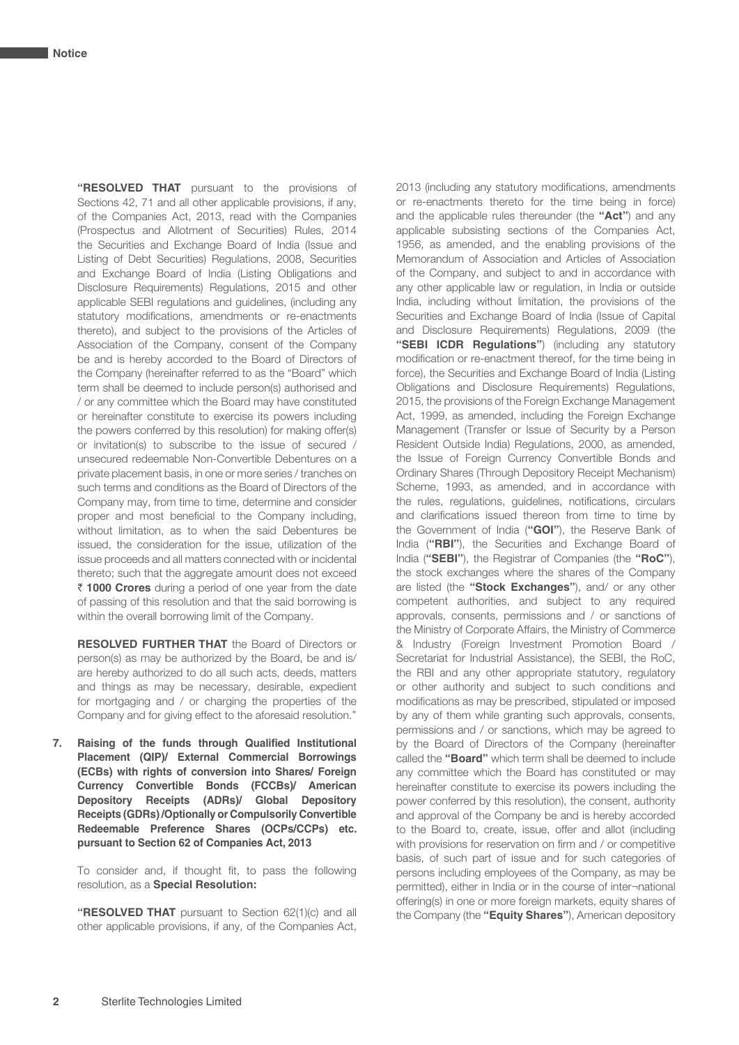**"RESOLVED THAT** pursuant to the provisions of Sections 42, 71 and all other applicable provisions, if any, of the Companies Act, 2013, read with the Companies (Prospectus and Allotment of Securities) Rules, 2014 the Securities and Exchange Board of India (Issue and Listing of Debt Securities) Regulations, 2008, Securities and Exchange Board of India (Listing Obligations and Disclosure Requirements) Regulations, 2015 and other applicable SEBI regulations and guidelines, (including any statutory modifications, amendments or re-enactments thereto), and subject to the provisions of the Articles of Association of the Company, consent of the Company be and is hereby accorded to the Board of Directors of the Company (hereinafter referred to as the "Board" which term shall be deemed to include person(s) authorised and / or any committee which the Board may have constituted or hereinafter constitute to exercise its powers including the powers conferred by this resolution) for making offer(s) or invitation(s) to subscribe to the issue of secured / unsecured redeemable Non-Convertible Debentures on a private placement basis, in one or more series / tranches on such terms and conditions as the Board of Directors of the Company may, from time to time, determine and consider proper and most beneficial to the Company including, without limitation, as to when the said Debentures be issued, the consideration for the issue, utilization of the issue proceeds and all matters connected with or incidental thereto; such that the aggregate amount does not exceed ` **1000 Crores** during a period of one year from the date of passing of this resolution and that the said borrowing is within the overall borrowing limit of the Company.

 **RESOLVED FURTHER THAT** the Board of Directors or person(s) as may be authorized by the Board, be and is/ are hereby authorized to do all such acts, deeds, matters and things as may be necessary, desirable, expedient for mortgaging and / or charging the properties of the Company and for giving effect to the aforesaid resolution."

**7. Raising of the funds through Qualified Institutional Placement (QIP)/ External Commercial Borrowings (ECBs) with rights of conversion into Shares/ Foreign Currency Convertible Bonds (FCCBs)/ American Depository Receipts (ADRs)/ Global Depository Receipts (GDRs) /Optionally or Compulsorily Convertible Redeemable Preference Shares (OCPs/CCPs) etc. pursuant to Section 62 of Companies Act, 2013**

 To consider and, if thought fit, to pass the following resolution, as a **Special Resolution:**

**"RESOLVED THAT** pursuant to Section 62(1)(c) and all other applicable provisions, if any, of the Companies Act,

2013 (including any statutory modifications, amendments or re-enactments thereto for the time being in force) and the applicable rules thereunder (the **"Act"**) and any applicable subsisting sections of the Companies Act, 1956, as amended, and the enabling provisions of the Memorandum of Association and Articles of Association of the Company, and subject to and in accordance with any other applicable law or regulation, in India or outside India, including without limitation, the provisions of the Securities and Exchange Board of India (Issue of Capital and Disclosure Requirements) Regulations, 2009 (the **"SEBI ICDR Regulations"**) (including any statutory modification or re-enactment thereof, for the time being in force), the Securities and Exchange Board of India (Listing Obligations and Disclosure Requirements) Regulations, 2015, the provisions of the Foreign Exchange Management Act, 1999, as amended, including the Foreign Exchange Management (Transfer or Issue of Security by a Person Resident Outside India) Regulations, 2000, as amended, the Issue of Foreign Currency Convertible Bonds and Ordinary Shares (Through Depository Receipt Mechanism) Scheme, 1993, as amended, and in accordance with the rules, regulations, guidelines, notifications, circulars and clarifications issued thereon from time to time by the Government of India (**"GOI"**), the Reserve Bank of India (**"RBI"**), the Securities and Exchange Board of India (**"SEBI"**), the Registrar of Companies (the **"RoC"**), the stock exchanges where the shares of the Company are listed (the **"Stock Exchanges"**), and/ or any other competent authorities, and subject to any required approvals, consents, permissions and / or sanctions of the Ministry of Corporate Affairs, the Ministry of Commerce & Industry (Foreign Investment Promotion Board / Secretariat for Industrial Assistance), the SEBI, the RoC, the RBI and any other appropriate statutory, regulatory or other authority and subject to such conditions and modifications as may be prescribed, stipulated or imposed by any of them while granting such approvals, consents, permissions and / or sanctions, which may be agreed to by the Board of Directors of the Company (hereinafter called the **"Board"** which term shall be deemed to include any committee which the Board has constituted or may hereinafter constitute to exercise its powers including the power conferred by this resolution), the consent, authority and approval of the Company be and is hereby accorded to the Board to, create, issue, offer and allot (including with provisions for reservation on firm and / or competitive basis, of such part of issue and for such categories of persons including employees of the Company, as may be permitted), either in India or in the course of inter¬national offering(s) in one or more foreign markets, equity shares of the Company (the **"Equity Shares"**), American depository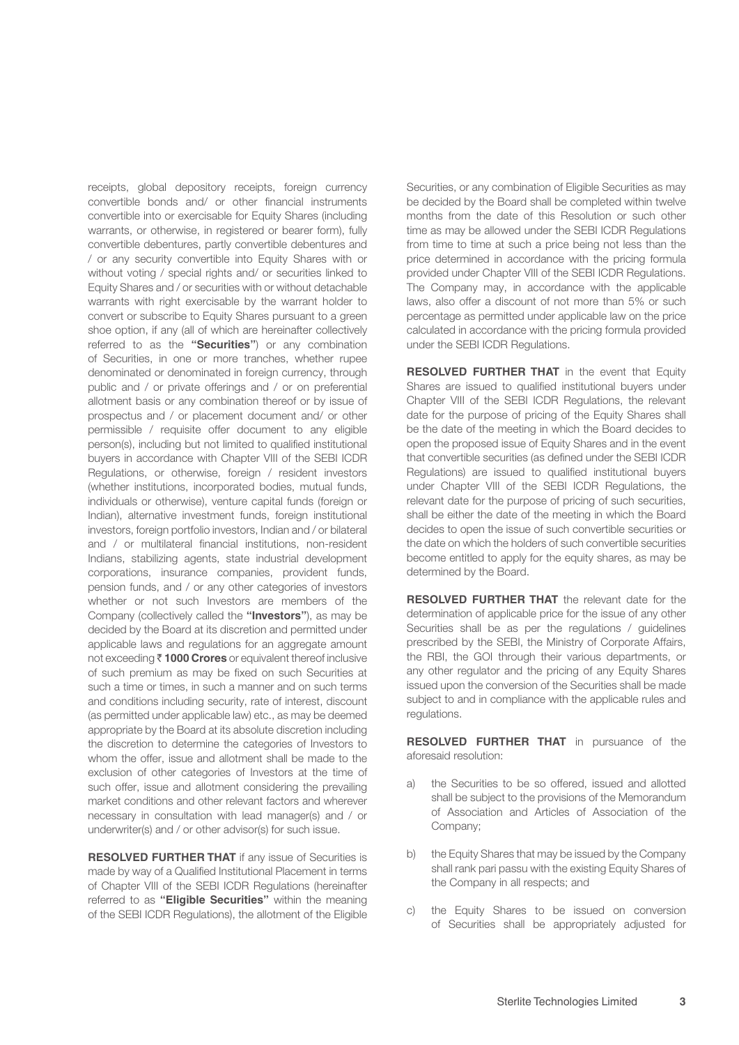receipts, global depository receipts, foreign currency convertible bonds and/ or other financial instruments convertible into or exercisable for Equity Shares (including warrants, or otherwise, in registered or bearer form), fully convertible debentures, partly convertible debentures and / or any security convertible into Equity Shares with or without voting / special rights and/ or securities linked to Equity Shares and / or securities with or without detachable warrants with right exercisable by the warrant holder to convert or subscribe to Equity Shares pursuant to a green shoe option, if any (all of which are hereinafter collectively referred to as the **"Securities"**) or any combination of Securities, in one or more tranches, whether rupee denominated or denominated in foreign currency, through public and / or private offerings and / or on preferential allotment basis or any combination thereof or by issue of prospectus and / or placement document and/ or other permissible / requisite offer document to any eligible person(s), including but not limited to qualified institutional buyers in accordance with Chapter VIII of the SEBI ICDR Regulations, or otherwise, foreign / resident investors (whether institutions, incorporated bodies, mutual funds, individuals or otherwise), venture capital funds (foreign or Indian), alternative investment funds, foreign institutional investors, foreign portfolio investors, Indian and / or bilateral and / or multilateral financial institutions, non-resident Indians, stabilizing agents, state industrial development corporations, insurance companies, provident funds, pension funds, and / or any other categories of investors whether or not such Investors are members of the Company (collectively called the **"Investors"**), as may be decided by the Board at its discretion and permitted under applicable laws and regulations for an aggregate amount not exceeding ` **1000 Crores** or equivalent thereof inclusive of such premium as may be fixed on such Securities at such a time or times, in such a manner and on such terms and conditions including security, rate of interest, discount (as permitted under applicable law) etc., as may be deemed appropriate by the Board at its absolute discretion including the discretion to determine the categories of Investors to whom the offer, issue and allotment shall be made to the exclusion of other categories of Investors at the time of such offer, issue and allotment considering the prevailing market conditions and other relevant factors and wherever necessary in consultation with lead manager(s) and / or underwriter(s) and / or other advisor(s) for such issue.

**RESOLVED FURTHER THAT** if any issue of Securities is made by way of a Qualified Institutional Placement in terms of Chapter VIII of the SEBI ICDR Regulations (hereinafter referred to as **"Eligible Securities"** within the meaning of the SEBI ICDR Regulations), the allotment of the Eligible Securities, or any combination of Eligible Securities as may be decided by the Board shall be completed within twelve months from the date of this Resolution or such other time as may be allowed under the SEBI ICDR Regulations from time to time at such a price being not less than the price determined in accordance with the pricing formula provided under Chapter VIII of the SEBI ICDR Regulations. The Company may, in accordance with the applicable laws, also offer a discount of not more than 5% or such percentage as permitted under applicable law on the price calculated in accordance with the pricing formula provided under the SEBI ICDR Regulations.

**RESOLVED FURTHER THAT** in the event that Equity Shares are issued to qualified institutional buyers under Chapter VIII of the SEBI ICDR Regulations, the relevant date for the purpose of pricing of the Equity Shares shall be the date of the meeting in which the Board decides to open the proposed issue of Equity Shares and in the event that convertible securities (as defined under the SEBI ICDR Regulations) are issued to qualified institutional buyers under Chapter VIII of the SEBI ICDR Regulations, the relevant date for the purpose of pricing of such securities, shall be either the date of the meeting in which the Board decides to open the issue of such convertible securities or the date on which the holders of such convertible securities become entitled to apply for the equity shares, as may be determined by the Board.

 **RESOLVED FURTHER THAT** the relevant date for the determination of applicable price for the issue of any other Securities shall be as per the regulations / guidelines prescribed by the SEBI, the Ministry of Corporate Affairs, the RBI, the GOI through their various departments, or any other regulator and the pricing of any Equity Shares issued upon the conversion of the Securities shall be made subject to and in compliance with the applicable rules and regulations.

 **RESOLVED FURTHER THAT** in pursuance of the aforesaid resolution:

- a) the Securities to be so offered, issued and allotted shall be subject to the provisions of the Memorandum of Association and Articles of Association of the Company;
- b) the Equity Shares that may be issued by the Company shall rank pari passu with the existing Equity Shares of the Company in all respects; and
- c) the Equity Shares to be issued on conversion of Securities shall be appropriately adjusted for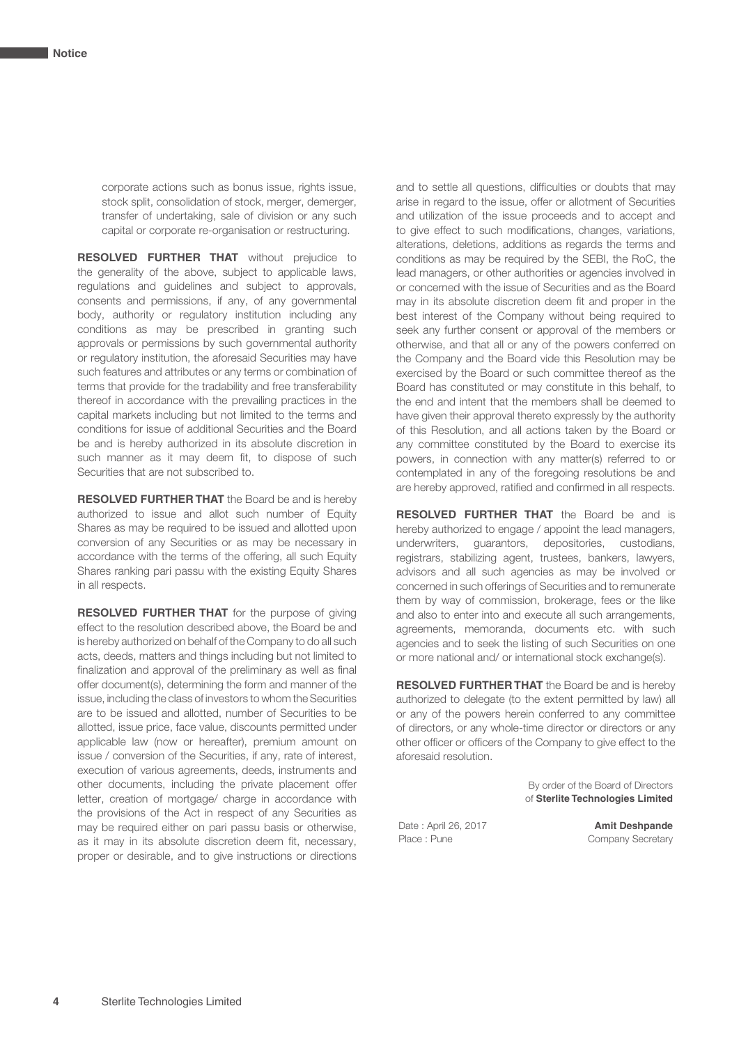corporate actions such as bonus issue, rights issue, stock split, consolidation of stock, merger, demerger, transfer of undertaking, sale of division or any such capital or corporate re-organisation or restructuring.

**RESOLVED FURTHER THAT** without prejudice to the generality of the above, subject to applicable laws, regulations and guidelines and subject to approvals, consents and permissions, if any, of any governmental body, authority or regulatory institution including any conditions as may be prescribed in granting such approvals or permissions by such governmental authority or regulatory institution, the aforesaid Securities may have such features and attributes or any terms or combination of terms that provide for the tradability and free transferability thereof in accordance with the prevailing practices in the capital markets including but not limited to the terms and conditions for issue of additional Securities and the Board be and is hereby authorized in its absolute discretion in such manner as it may deem fit, to dispose of such Securities that are not subscribed to.

 **RESOLVED FURTHER THAT** the Board be and is hereby authorized to issue and allot such number of Equity Shares as may be required to be issued and allotted upon conversion of any Securities or as may be necessary in accordance with the terms of the offering, all such Equity Shares ranking pari passu with the existing Equity Shares in all respects.

 **RESOLVED FURTHER THAT** for the purpose of giving effect to the resolution described above, the Board be and is hereby authorized on behalf of the Company to do all such acts, deeds, matters and things including but not limited to finalization and approval of the preliminary as well as final offer document(s), determining the form and manner of the issue, including the class of investors to whom the Securities are to be issued and allotted, number of Securities to be allotted, issue price, face value, discounts permitted under applicable law (now or hereafter), premium amount on issue / conversion of the Securities, if any, rate of interest, execution of various agreements, deeds, instruments and other documents, including the private placement offer letter, creation of mortgage/ charge in accordance with the provisions of the Act in respect of any Securities as may be required either on pari passu basis or otherwise, as it may in its absolute discretion deem fit, necessary, proper or desirable, and to give instructions or directions

and to settle all questions, difficulties or doubts that may arise in regard to the issue, offer or allotment of Securities and utilization of the issue proceeds and to accept and to give effect to such modifications, changes, variations, alterations, deletions, additions as regards the terms and conditions as may be required by the SEBI, the RoC, the lead managers, or other authorities or agencies involved in or concerned with the issue of Securities and as the Board may in its absolute discretion deem fit and proper in the best interest of the Company without being required to seek any further consent or approval of the members or otherwise, and that all or any of the powers conferred on the Company and the Board vide this Resolution may be exercised by the Board or such committee thereof as the Board has constituted or may constitute in this behalf, to the end and intent that the members shall be deemed to have given their approval thereto expressly by the authority of this Resolution, and all actions taken by the Board or any committee constituted by the Board to exercise its powers, in connection with any matter(s) referred to or contemplated in any of the foregoing resolutions be and are hereby approved, ratified and confirmed in all respects.

 **RESOLVED FURTHER THAT** the Board be and is hereby authorized to engage / appoint the lead managers, underwriters, guarantors, depositories, custodians, registrars, stabilizing agent, trustees, bankers, lawyers, advisors and all such agencies as may be involved or concerned in such offerings of Securities and to remunerate them by way of commission, brokerage, fees or the like and also to enter into and execute all such arrangements, agreements, memoranda, documents etc. with such agencies and to seek the listing of such Securities on one or more national and/ or international stock exchange(s).

 **RESOLVED FURTHER THAT** the Board be and is hereby authorized to delegate (to the extent permitted by law) all or any of the powers herein conferred to any committee of directors, or any whole-time director or directors or any other officer or officers of the Company to give effect to the aforesaid resolution.

> By order of the Board of Directors of **Sterlite Technologies Limited**

Place : Pune Company Secretary

Date : April 26, 2017 **Amit Deshpande**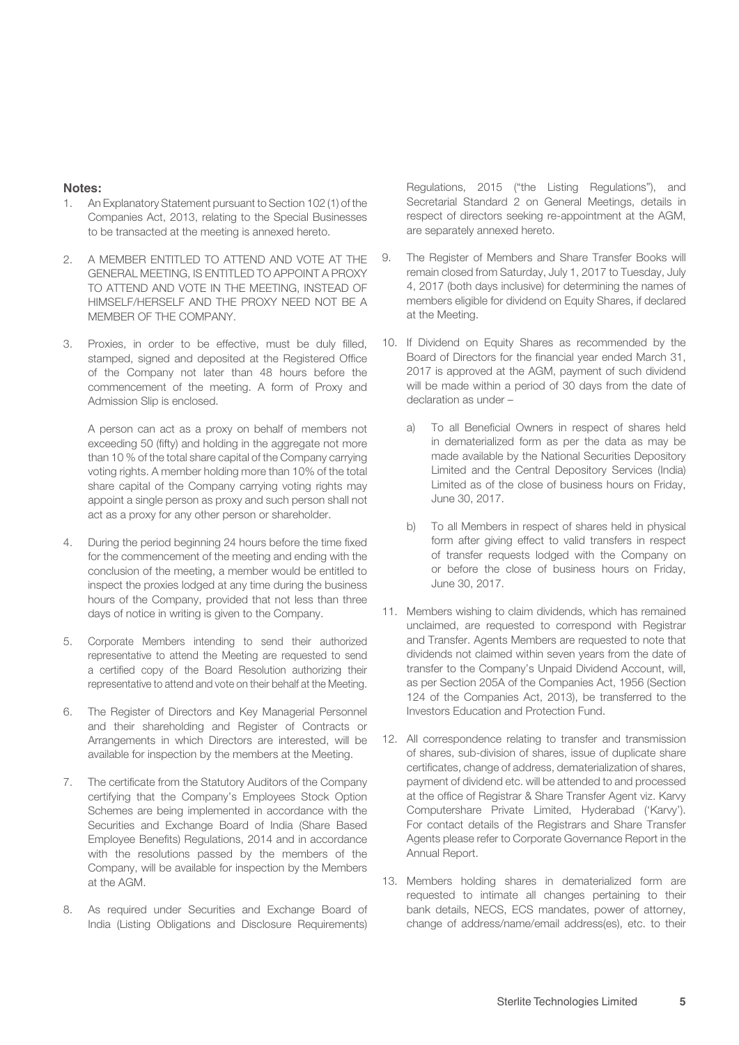#### **Notes:**

- 1. An Explanatory Statement pursuant to Section 102 (1) of the Companies Act, 2013, relating to the Special Businesses to be transacted at the meeting is annexed hereto.
- 2. A MEMBER ENTITLED TO ATTEND AND VOTE AT THE GENERAL MEETING, IS ENTITLED TO APPOINT A PROXY TO ATTEND AND VOTE IN THE MEETING, INSTEAD OF HIMSELF/HERSELF AND THE PROXY NEED NOT BE A MEMBER OF THE COMPANY.
- 3. Proxies, in order to be effective, must be duly filled, stamped, signed and deposited at the Registered Office of the Company not later than 48 hours before the commencement of the meeting. A form of Proxy and Admission Slip is enclosed.

 A person can act as a proxy on behalf of members not exceeding 50 (fifty) and holding in the aggregate not more than 10 % of the total share capital of the Company carrying voting rights. A member holding more than 10% of the total share capital of the Company carrying voting rights may appoint a single person as proxy and such person shall not act as a proxy for any other person or shareholder.

- 4. During the period beginning 24 hours before the time fixed for the commencement of the meeting and ending with the conclusion of the meeting, a member would be entitled to inspect the proxies lodged at any time during the business hours of the Company, provided that not less than three days of notice in writing is given to the Company.
- 5. Corporate Members intending to send their authorized representative to attend the Meeting are requested to send a certified copy of the Board Resolution authorizing their representative to attend and vote on their behalf at the Meeting.
- 6. The Register of Directors and Key Managerial Personnel and their shareholding and Register of Contracts or Arrangements in which Directors are interested, will be available for inspection by the members at the Meeting.
- 7. The certificate from the Statutory Auditors of the Company certifying that the Company's Employees Stock Option Schemes are being implemented in accordance with the Securities and Exchange Board of India (Share Based Employee Benefits) Regulations, 2014 and in accordance with the resolutions passed by the members of the Company, will be available for inspection by the Members at the AGM.
- 8. As required under Securities and Exchange Board of India (Listing Obligations and Disclosure Requirements)

Regulations, 2015 ("the Listing Regulations"), and Secretarial Standard 2 on General Meetings, details in respect of directors seeking re-appointment at the AGM, are separately annexed hereto.

- 9. The Register of Members and Share Transfer Books will remain closed from Saturday, July 1, 2017 to Tuesday, July 4, 2017 (both days inclusive) for determining the names of members eligible for dividend on Equity Shares, if declared at the Meeting.
- 10. If Dividend on Equity Shares as recommended by the Board of Directors for the financial year ended March 31, 2017 is approved at the AGM, payment of such dividend will be made within a period of 30 days from the date of declaration as under –
	- a) To all Beneficial Owners in respect of shares held in dematerialized form as per the data as may be made available by the National Securities Depository Limited and the Central Depository Services (India) Limited as of the close of business hours on Friday, June 30, 2017.
	- b) To all Members in respect of shares held in physical form after giving effect to valid transfers in respect of transfer requests lodged with the Company on or before the close of business hours on Friday, June 30, 2017.
- 11. Members wishing to claim dividends, which has remained unclaimed, are requested to correspond with Registrar and Transfer. Agents Members are requested to note that dividends not claimed within seven years from the date of transfer to the Company's Unpaid Dividend Account, will, as per Section 205A of the Companies Act, 1956 (Section 124 of the Companies Act, 2013), be transferred to the Investors Education and Protection Fund.
- 12. All correspondence relating to transfer and transmission of shares, sub-division of shares, issue of duplicate share certificates, change of address, dematerialization of shares, payment of dividend etc. will be attended to and processed at the office of Registrar & Share Transfer Agent viz. Karvy Computershare Private Limited, Hyderabad ('Karvy'). For contact details of the Registrars and Share Transfer Agents please refer to Corporate Governance Report in the Annual Report.
- 13. Members holding shares in dematerialized form are requested to intimate all changes pertaining to their bank details, NECS, ECS mandates, power of attorney, change of address/name/email address(es), etc. to their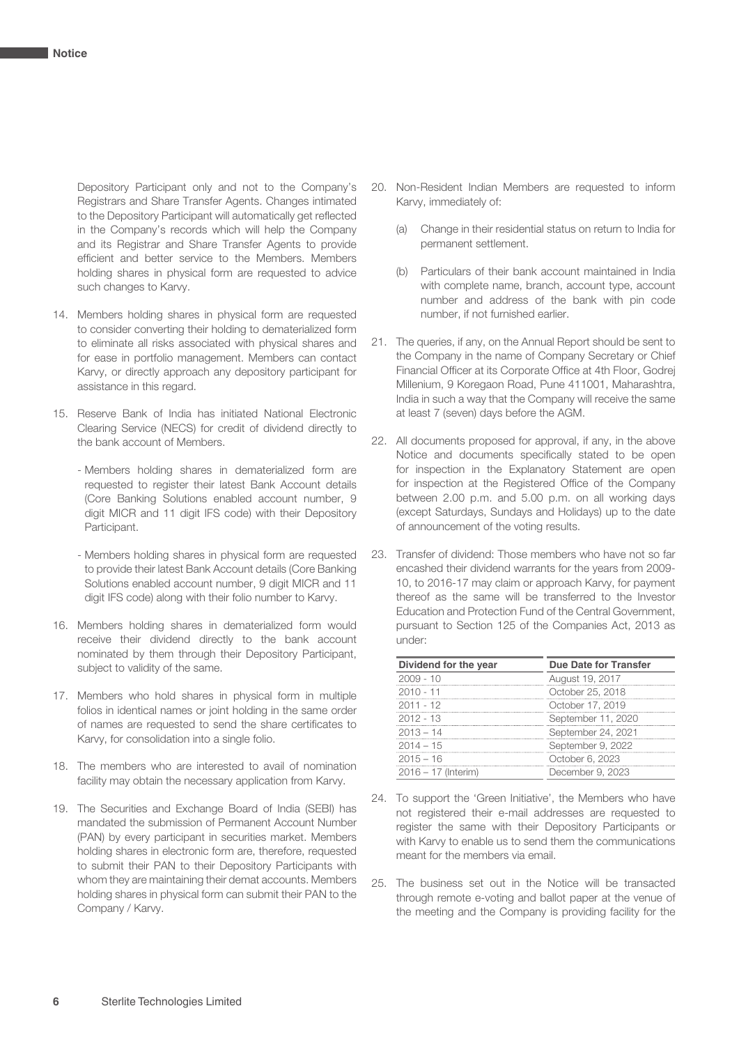Depository Participant only and not to the Company's Registrars and Share Transfer Agents. Changes intimated to the Depository Participant will automatically get reflected in the Company's records which will help the Company and its Registrar and Share Transfer Agents to provide efficient and better service to the Members. Members holding shares in physical form are requested to advice such changes to Karvy.

- 14. Members holding shares in physical form are requested to consider converting their holding to dematerialized form to eliminate all risks associated with physical shares and for ease in portfolio management. Members can contact Karvy, or directly approach any depository participant for assistance in this regard.
- 15. Reserve Bank of India has initiated National Electronic Clearing Service (NECS) for credit of dividend directly to the bank account of Members.
	- Members holding shares in dematerialized form are requested to register their latest Bank Account details (Core Banking Solutions enabled account number, 9 digit MICR and 11 digit IFS code) with their Depository Participant.
	- Members holding shares in physical form are requested to provide their latest Bank Account details (Core Banking Solutions enabled account number, 9 digit MICR and 11 digit IFS code) along with their folio number to Karvy.
- 16. Members holding shares in dematerialized form would receive their dividend directly to the bank account nominated by them through their Depository Participant, subject to validity of the same.
- 17. Members who hold shares in physical form in multiple folios in identical names or joint holding in the same order of names are requested to send the share certificates to Karvy, for consolidation into a single folio.
- 18. The members who are interested to avail of nomination facility may obtain the necessary application from Karvy.
- 19. The Securities and Exchange Board of India (SEBI) has mandated the submission of Permanent Account Number (PAN) by every participant in securities market. Members holding shares in electronic form are, therefore, requested to submit their PAN to their Depository Participants with whom they are maintaining their demat accounts. Members holding shares in physical form can submit their PAN to the Company / Karvy.
- 20. Non-Resident Indian Members are requested to inform Karvy, immediately of:
	- (a) Change in their residential status on return to India for permanent settlement.
	- (b) Particulars of their bank account maintained in India with complete name, branch, account type, account number and address of the bank with pin code number, if not furnished earlier.
- 21. The queries, if any, on the Annual Report should be sent to the Company in the name of Company Secretary or Chief Financial Officer at its Corporate Office at 4th Floor, Godrej Millenium, 9 Koregaon Road, Pune 411001, Maharashtra, India in such a way that the Company will receive the same at least 7 (seven) days before the AGM.
- 22. All documents proposed for approval, if any, in the above Notice and documents specifically stated to be open for inspection in the Explanatory Statement are open for inspection at the Registered Office of the Company between 2.00 p.m. and 5.00 p.m. on all working days (except Saturdays, Sundays and Holidays) up to the date of announcement of the voting results.
- 23. Transfer of dividend: Those members who have not so far encashed their dividend warrants for the years from 2009- 10, to 2016-17 may claim or approach Karvy, for payment thereof as the same will be transferred to the Investor Education and Protection Fund of the Central Government, pursuant to Section 125 of the Companies Act, 2013 as under:

| Dividend for the year | Due Date for Transfer |
|-----------------------|-----------------------|
| 2009 - 10             | August 19, 2017       |
| $2010 - 11$           | October 25, 2018      |
| $2011 - 12$           | October 17, 2019      |
| $2012 - 13$           | September 11, 2020    |
| $2013 - 14$           | September 24, 2021    |
| $2014 - 15$           | September 9, 2022     |
| $2015 - 16$           | October 6, 2023       |
| 2016 - 17 (Interim)   | December 9, 2023      |

- 24. To support the 'Green Initiative', the Members who have not registered their e-mail addresses are requested to register the same with their Depository Participants or with Karvy to enable us to send them the communications meant for the members via email.
- 25. The business set out in the Notice will be transacted through remote e-voting and ballot paper at the venue of the meeting and the Company is providing facility for the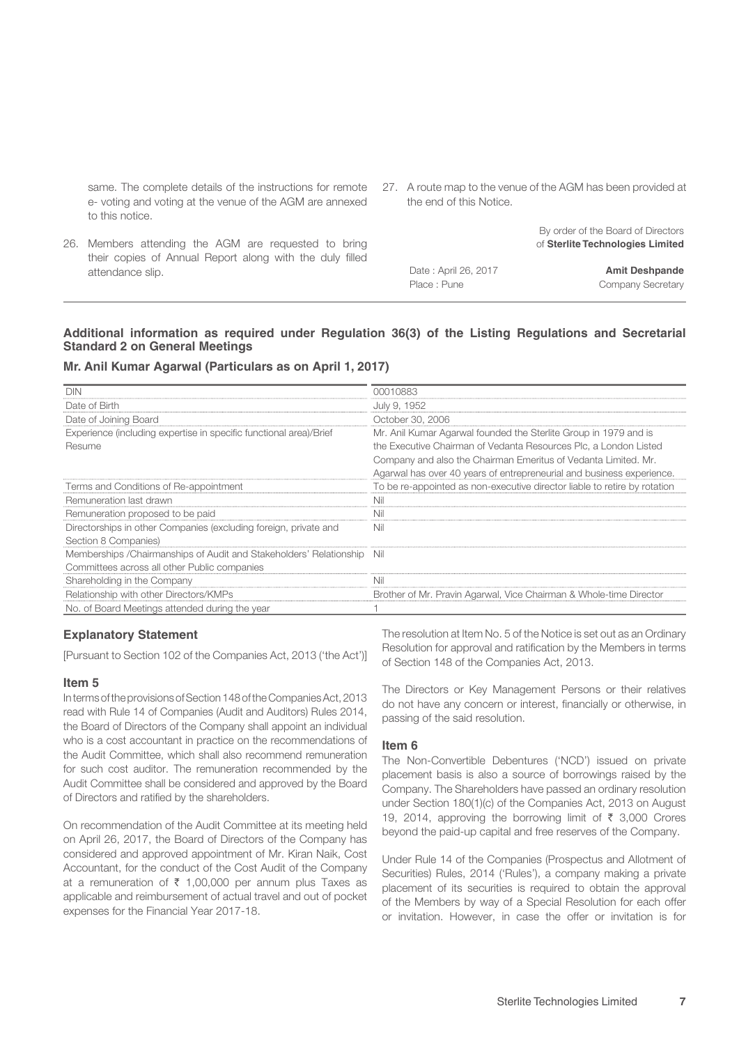same. The complete details of the instructions for remote e- voting and voting at the venue of the AGM are annexed to this notice.

- 27. A route map to the venue of the AGM has been provided at the end of this Notice.
	- By order of the Board of Directors of **Sterlite Technologies Limited**
- 26. Members attending the AGM are requested to bring their copies of Annual Report along with the duly filled attendance slip.
- Date : April 26, 2017 **Amit Deshpande**

Place : Pune Company Secretary

#### **Additional information as required under Regulation 36(3) of the Listing Regulations and Secretarial Standard 2 on General Meetings**

#### **Mr. Anil Kumar Agarwal (Particulars as on April 1, 2017)**

| 00010883                                                                  |
|---------------------------------------------------------------------------|
| July 9, 1952                                                              |
| October 30, 2006                                                          |
| Mr. Anil Kumar Agarwal founded the Sterlite Group in 1979 and is          |
| the Executive Chairman of Vedanta Resources Plc, a London Listed          |
| Company and also the Chairman Emeritus of Vedanta Limited. Mr.            |
| Agarwal has over 40 years of entrepreneurial and business experience.     |
| To be re-appointed as non-executive director liable to retire by rotation |
| Nil                                                                       |
| Nil                                                                       |
| Nil                                                                       |
|                                                                           |
| - Nil                                                                     |
|                                                                           |
| Nil                                                                       |
| Brother of Mr. Pravin Agarwal, Vice Chairman & Whole-time Director        |
|                                                                           |
|                                                                           |

#### **Explanatory Statement**

[Pursuant to Section 102 of the Companies Act, 2013 ('the Act')]

#### **Item 5**

In terms of the provisions of Section 148 of the Companies Act, 2013 read with Rule 14 of Companies (Audit and Auditors) Rules 2014, the Board of Directors of the Company shall appoint an individual who is a cost accountant in practice on the recommendations of the Audit Committee, which shall also recommend remuneration for such cost auditor. The remuneration recommended by the Audit Committee shall be considered and approved by the Board of Directors and ratified by the shareholders.

On recommendation of the Audit Committee at its meeting held on April 26, 2017, the Board of Directors of the Company has considered and approved appointment of Mr. Kiran Naik, Cost Accountant, for the conduct of the Cost Audit of the Company at a remuneration of  $\bar{\tau}$  1,00,000 per annum plus Taxes as applicable and reimbursement of actual travel and out of pocket expenses for the Financial Year 2017-18.

The resolution at Item No. 5 of the Notice is set out as an Ordinary Resolution for approval and ratification by the Members in terms of Section 148 of the Companies Act, 2013.

The Directors or Key Management Persons or their relatives do not have any concern or interest, financially or otherwise, in passing of the said resolution.

#### **Item 6**

The Non-Convertible Debentures ('NCD') issued on private placement basis is also a source of borrowings raised by the Company. The Shareholders have passed an ordinary resolution under Section 180(1)(c) of the Companies Act, 2013 on August 19, 2014, approving the borrowing limit of  $\bar{\tau}$  3,000 Crores beyond the paid-up capital and free reserves of the Company.

Under Rule 14 of the Companies (Prospectus and Allotment of Securities) Rules, 2014 ('Rules'), a company making a private placement of its securities is required to obtain the approval of the Members by way of a Special Resolution for each offer or invitation. However, in case the offer or invitation is for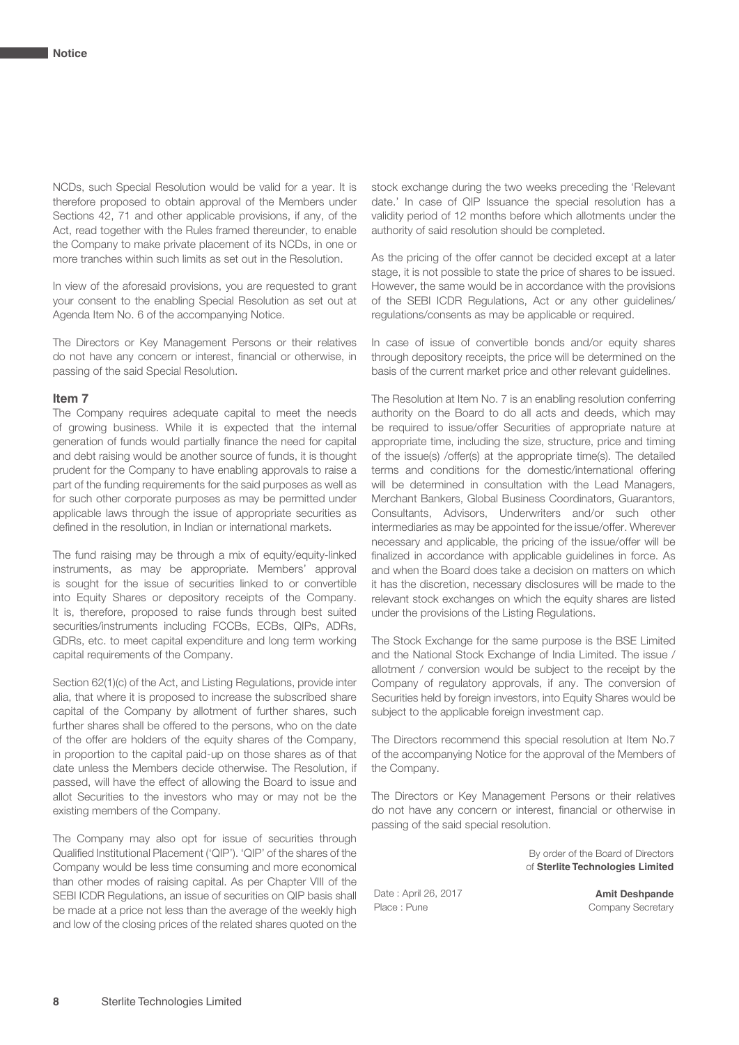NCDs, such Special Resolution would be valid for a year. It is therefore proposed to obtain approval of the Members under Sections 42, 71 and other applicable provisions, if any, of the Act, read together with the Rules framed thereunder, to enable the Company to make private placement of its NCDs, in one or more tranches within such limits as set out in the Resolution.

In view of the aforesaid provisions, you are requested to grant your consent to the enabling Special Resolution as set out at Agenda Item No. 6 of the accompanying Notice.

The Directors or Key Management Persons or their relatives do not have any concern or interest, financial or otherwise, in passing of the said Special Resolution.

#### **Item 7**

The Company requires adequate capital to meet the needs of growing business. While it is expected that the internal generation of funds would partially finance the need for capital and debt raising would be another source of funds, it is thought prudent for the Company to have enabling approvals to raise a part of the funding requirements for the said purposes as well as for such other corporate purposes as may be permitted under applicable laws through the issue of appropriate securities as defined in the resolution, in Indian or international markets.

The fund raising may be through a mix of equity/equity-linked instruments, as may be appropriate. Members' approval is sought for the issue of securities linked to or convertible into Equity Shares or depository receipts of the Company. It is, therefore, proposed to raise funds through best suited securities/instruments including FCCBs, ECBs, QIPs, ADRs, GDRs, etc. to meet capital expenditure and long term working capital requirements of the Company.

Section 62(1)(c) of the Act, and Listing Regulations, provide inter alia, that where it is proposed to increase the subscribed share capital of the Company by allotment of further shares, such further shares shall be offered to the persons, who on the date of the offer are holders of the equity shares of the Company, in proportion to the capital paid-up on those shares as of that date unless the Members decide otherwise. The Resolution, if passed, will have the effect of allowing the Board to issue and allot Securities to the investors who may or may not be the existing members of the Company.

The Company may also opt for issue of securities through Qualified Institutional Placement ('QIP'). 'QIP' of the shares of the Company would be less time consuming and more economical than other modes of raising capital. As per Chapter VIII of the SEBI ICDR Regulations, an issue of securities on QIP basis shall be made at a price not less than the average of the weekly high and low of the closing prices of the related shares quoted on the

stock exchange during the two weeks preceding the 'Relevant date.' In case of QIP Issuance the special resolution has a validity period of 12 months before which allotments under the authority of said resolution should be completed.

As the pricing of the offer cannot be decided except at a later stage, it is not possible to state the price of shares to be issued. However, the same would be in accordance with the provisions of the SEBI ICDR Regulations, Act or any other guidelines/ regulations/consents as may be applicable or required.

In case of issue of convertible bonds and/or equity shares through depository receipts, the price will be determined on the basis of the current market price and other relevant guidelines.

The Resolution at Item No. 7 is an enabling resolution conferring authority on the Board to do all acts and deeds, which may be required to issue/offer Securities of appropriate nature at appropriate time, including the size, structure, price and timing of the issue(s) /offer(s) at the appropriate time(s). The detailed terms and conditions for the domestic/international offering will be determined in consultation with the Lead Managers, Merchant Bankers, Global Business Coordinators, Guarantors, Consultants, Advisors, Underwriters and/or such other intermediaries as may be appointed for the issue/offer. Wherever necessary and applicable, the pricing of the issue/offer will be finalized in accordance with applicable guidelines in force. As and when the Board does take a decision on matters on which it has the discretion, necessary disclosures will be made to the relevant stock exchanges on which the equity shares are listed under the provisions of the Listing Regulations.

The Stock Exchange for the same purpose is the BSE Limited and the National Stock Exchange of India Limited. The issue / allotment / conversion would be subject to the receipt by the Company of regulatory approvals, if any. The conversion of Securities held by foreign investors, into Equity Shares would be subject to the applicable foreign investment cap.

The Directors recommend this special resolution at Item No.7 of the accompanying Notice for the approval of the Members of the Company.

The Directors or Key Management Persons or their relatives do not have any concern or interest, financial or otherwise in passing of the said special resolution.

> By order of the Board of Directors of **Sterlite Technologies Limited**

Date : April 26, 2017 **Amit Deshpande**

Company Secretary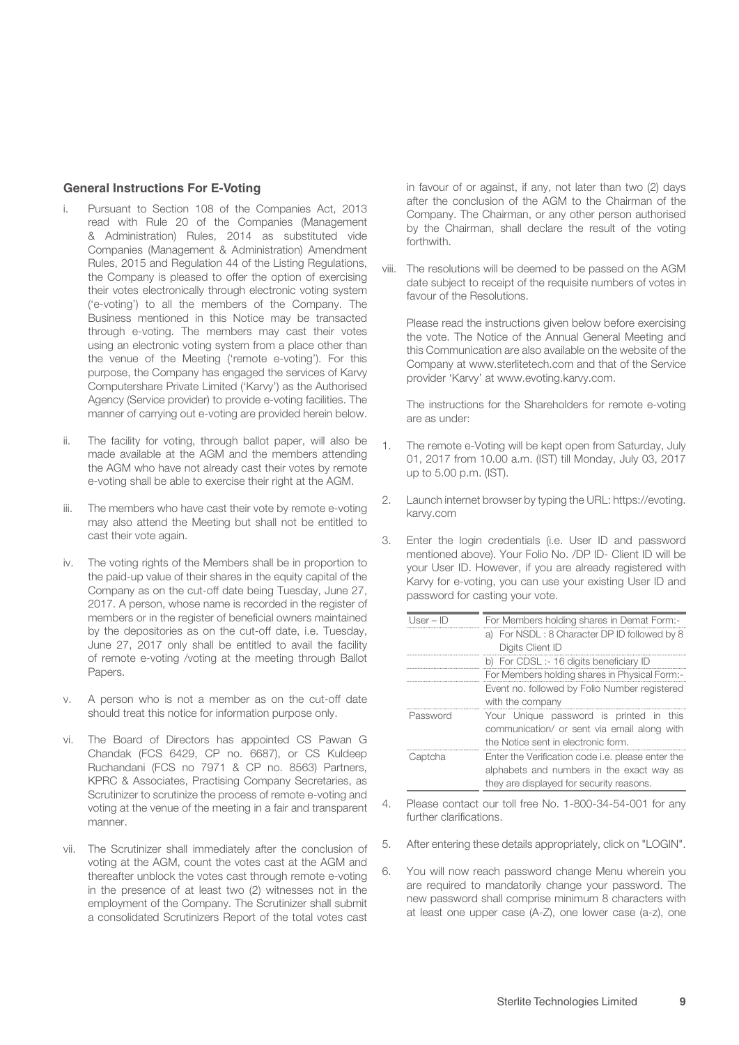#### **General Instructions For E-Voting**

- Pursuant to Section 108 of the Companies Act, 2013 read with Rule 20 of the Companies (Management & Administration) Rules, 2014 as substituted vide Companies (Management & Administration) Amendment Rules, 2015 and Regulation 44 of the Listing Regulations, the Company is pleased to offer the option of exercising their votes electronically through electronic voting system ('e-voting') to all the members of the Company. The Business mentioned in this Notice may be transacted through e-voting. The members may cast their votes using an electronic voting system from a place other than the venue of the Meeting ('remote e-voting'). For this purpose, the Company has engaged the services of Karvy Computershare Private Limited ('Karvy') as the Authorised Agency (Service provider) to provide e-voting facilities. The manner of carrying out e-voting are provided herein below.
- ii. The facility for voting, through ballot paper, will also be made available at the AGM and the members attending the AGM who have not already cast their votes by remote e-voting shall be able to exercise their right at the AGM.
- iii. The members who have cast their vote by remote e-voting may also attend the Meeting but shall not be entitled to cast their vote again.
- iv. The voting rights of the Members shall be in proportion to the paid-up value of their shares in the equity capital of the Company as on the cut-off date being Tuesday, June 27, 2017. A person, whose name is recorded in the register of members or in the register of beneficial owners maintained by the depositories as on the cut-off date, i.e. Tuesday, June 27, 2017 only shall be entitled to avail the facility of remote e-voting /voting at the meeting through Ballot Papers.
- v. A person who is not a member as on the cut-off date should treat this notice for information purpose only.
- vi. The Board of Directors has appointed CS Pawan G Chandak (FCS 6429, CP no. 6687), or CS Kuldeep Ruchandani (FCS no 7971 & CP no. 8563) Partners, KPRC & Associates, Practising Company Secretaries, as Scrutinizer to scrutinize the process of remote e-voting and voting at the venue of the meeting in a fair and transparent manner.
- vii. The Scrutinizer shall immediately after the conclusion of voting at the AGM, count the votes cast at the AGM and thereafter unblock the votes cast through remote e-voting in the presence of at least two (2) witnesses not in the employment of the Company. The Scrutinizer shall submit a consolidated Scrutinizers Report of the total votes cast

in favour of or against, if any, not later than two (2) days after the conclusion of the AGM to the Chairman of the Company. The Chairman, or any other person authorised by the Chairman, shall declare the result of the voting forthwith.

viii. The resolutions will be deemed to be passed on the AGM date subject to receipt of the requisite numbers of votes in favour of the Resolutions.

 Please read the instructions given below before exercising the vote. The Notice of the Annual General Meeting and this Communication are also available on the website of the Company at www.sterlitetech.com and that of the Service provider 'Karvy' at www.evoting.karvy.com.

 The instructions for the Shareholders for remote e-voting are as under:

- 1. The remote e-Voting will be kept open from Saturday, July 01, 2017 from 10.00 a.m. (IST) till Monday, July 03, 2017 up to 5.00 p.m. (IST).
- 2. Launch internet browser by typing the URL: https://evoting. karvy.com
- 3. Enter the login credentials (i.e. User ID and password mentioned above). Your Folio No. /DP ID- Client ID will be your User ID. However, if you are already registered with Karvy for e-voting, you can use your existing User ID and password for casting your vote.

| l Iser – ID | For Members holding shares in Demat Form:-               |  |  |  |  |  |  |  |
|-------------|----------------------------------------------------------|--|--|--|--|--|--|--|
|             | a) For NSDL: 8 Character DP ID followed by 8             |  |  |  |  |  |  |  |
|             | Digits Client ID                                         |  |  |  |  |  |  |  |
|             | b) For CDSL :- 16 digits beneficiary ID                  |  |  |  |  |  |  |  |
|             | For Members holding shares in Physical Form:-            |  |  |  |  |  |  |  |
|             | Event no. followed by Folio Number registered            |  |  |  |  |  |  |  |
|             | with the company                                         |  |  |  |  |  |  |  |
| Password    | Your Unique password is printed in this                  |  |  |  |  |  |  |  |
|             | communication/ or sent via email along with              |  |  |  |  |  |  |  |
|             | the Notice sent in electronic form.                      |  |  |  |  |  |  |  |
| Captcha     | Enter the Verification code <i>i.e.</i> please enter the |  |  |  |  |  |  |  |
|             | alphabets and numbers in the exact way as                |  |  |  |  |  |  |  |
|             | they are displayed for security reasons.                 |  |  |  |  |  |  |  |

- 4. Please contact our toll free No. 1-800-34-54-001 for any further clarifications.
- 5. After entering these details appropriately, click on "LOGIN".
- 6. You will now reach password change Menu wherein you are required to mandatorily change your password. The new password shall comprise minimum 8 characters with at least one upper case (A-Z), one lower case (a-z), one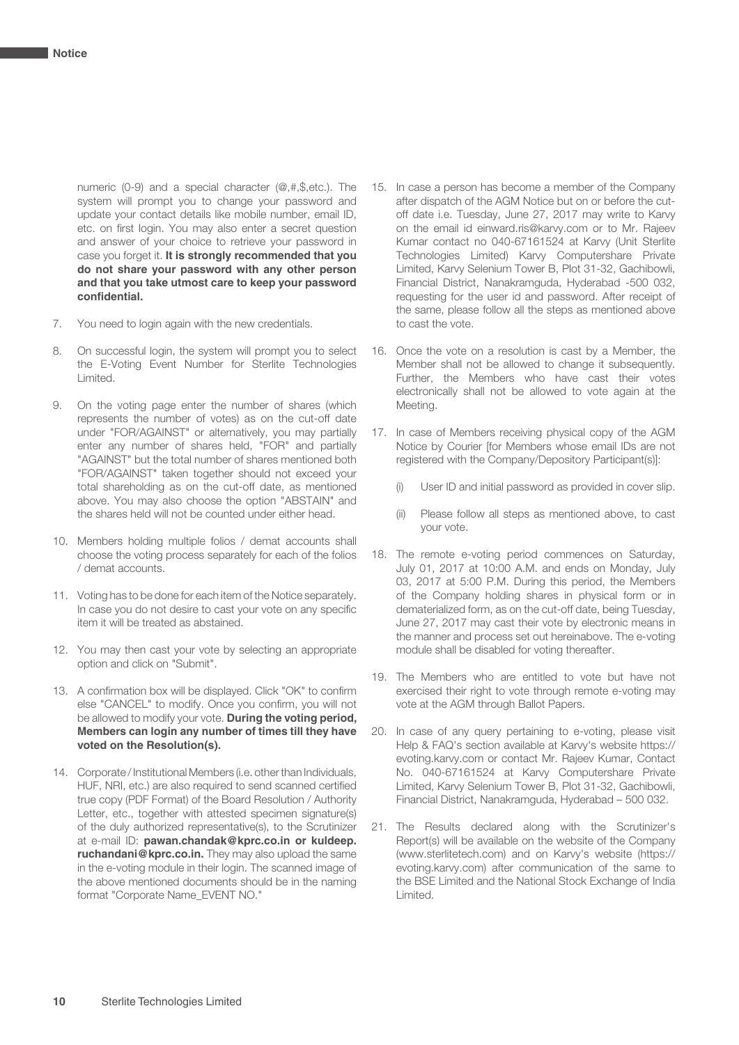numeric (0-9) and a special character (@,#,\$,etc.). The system will prompt you to change your password and update your contact details like mobile number, email ID, etc. on first login. You may also enter a secret question and answer of your choice to retrieve your password in case you forget it. **It is strongly recommended that you do not share your password with any other person and that you take utmost care to keep your password confidential.**

- 7. You need to login again with the new credentials.
- 8. On successful login, the system will prompt you to select the E-Voting Event Number for Sterlite Technologies Limited.
- 9. On the voting page enter the number of shares (which represents the number of votes) as on the cut-off date under "FOR/AGAINST" or alternatively, you may partially enter any number of shares held, "FOR" and partially "AGAINST" but the total number of shares mentioned both "FOR/AGAINST" taken together should not exceed your total shareholding as on the cut-off date, as mentioned above. You may also choose the option "ABSTAIN" and the shares held will not be counted under either head.
- 10. Members holding multiple folios / demat accounts shall choose the voting process separately for each of the folios / demat accounts.
- 11. Voting has to be done for each item of the Notice separately. In case you do not desire to cast your vote on any specific item it will be treated as abstained.
- 12. You may then cast your vote by selecting an appropriate option and click on "Submit".
- 13. A confirmation box will be displayed. Click "OK" to confirm else "CANCEL" to modify. Once you confirm, you will not be allowed to modify your vote. **During the voting period, Members can login any number of times till they have voted on the Resolution(s).**
- 14. Corporate / Institutional Members (i.e. other than Individuals, HUF, NRI, etc.) are also required to send scanned certified true copy (PDF Format) of the Board Resolution / Authority Letter, etc., together with attested specimen signature(s) of the duly authorized representative(s), to the Scrutinizer at e-mail ID: **pawan.chandak@kprc.co.in or kuldeep. ruchandani@kprc.co.in.** They may also upload the same in the e-voting module in their login. The scanned image of the above mentioned documents should be in the naming format "Corporate Name\_EVENT NO."
- 15. In case a person has become a member of the Company after dispatch of the AGM Notice but on or before the cutoff date i.e. Tuesday, June 27, 2017 may write to Karvy on the email id einward.ris@karvy.com or to Mr. Rajeev Kumar contact no 040-67161524 at Karvy (Unit Sterlite Technologies Limited) Karvy Computershare Private Limited, Karvy Selenium Tower B, Plot 31-32, Gachibowli, Financial District, Nanakramguda, Hyderabad -500 032, requesting for the user id and password. After receipt of the same, please follow all the steps as mentioned above to cast the vote.
- 16. Once the vote on a resolution is cast by a Member, the Member shall not be allowed to change it subsequently. Further, the Members who have cast their votes electronically shall not be allowed to vote again at the Meeting.
- 17. In case of Members receiving physical copy of the AGM Notice by Courier [for Members whose email IDs are not registered with the Company/Depository Participant(s)]:
	- User ID and initial password as provided in cover slip.
	- (ii) Please follow all steps as mentioned above, to cast your vote.
- 18. The remote e-voting period commences on Saturday, July 01, 2017 at 10:00 A.M. and ends on Monday, July 03, 2017 at 5:00 P.M. During this period, the Members of the Company holding shares in physical form or in dematerialized form, as on the cut-off date, being Tuesday, June 27, 2017 may cast their vote by electronic means in the manner and process set out hereinabove. The e-voting module shall be disabled for voting thereafter.
- 19. The Members who are entitled to vote but have not exercised their right to vote through remote e-voting may vote at the AGM through Ballot Papers.
- 20. In case of any query pertaining to e-voting, please visit Help & FAQ's section available at Karvy's website https:// evoting.karvy.com or contact Mr. Rajeev Kumar, Contact No. 040-67161524 at Karvy Computershare Private Limited, Karvy Selenium Tower B, Plot 31-32, Gachibowli, Financial District, Nanakramguda, Hyderabad – 500 032.
- 21. The Results declared along with the Scrutinizer's Report(s) will be available on the website of the Company (www.sterlitetech.com) and on Karvy's website (https:// evoting.karvy.com) after communication of the same to the BSE Limited and the National Stock Exchange of India Limited.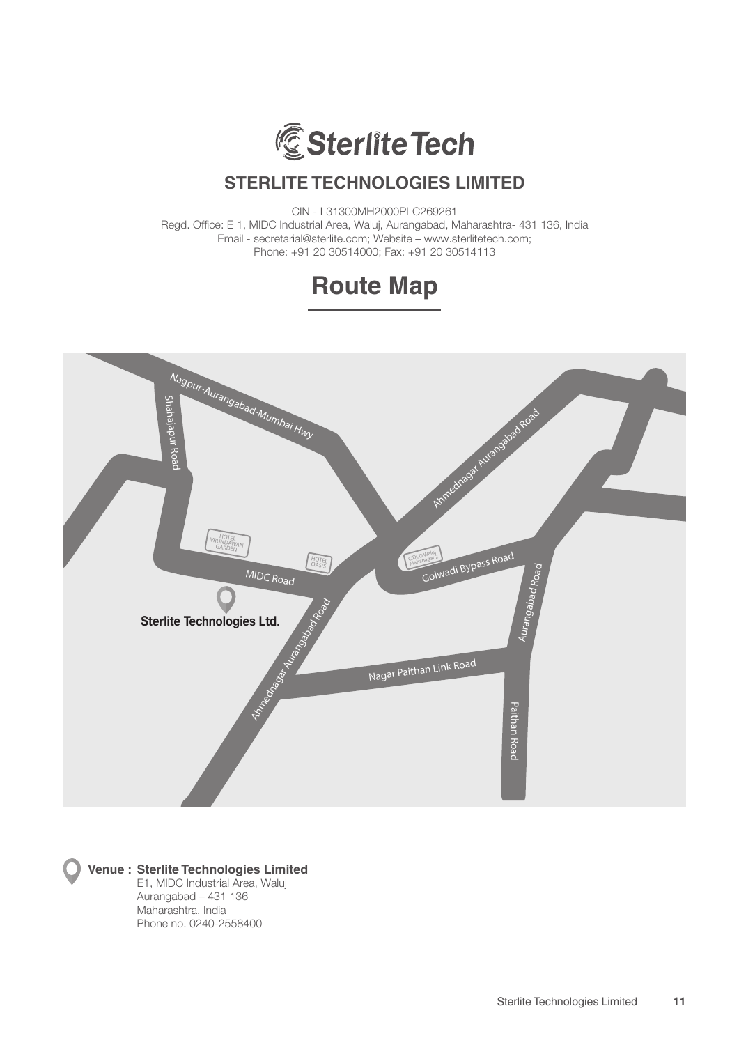

CIN - L31300MH2000PLC269261 Regd. Office: E 1, MIDC Industrial Area, Waluj, Aurangabad, Maharashtra- 431 136, India Email - secretarial@sterlite.com; Website – www.sterlitetech.com; Phone: +91 20 30514000; Fax: +91 20 30514113





#### **Venue : Sterlite Technologies Limited**

 E1, MIDC Industrial Area, Waluj Aurangabad – 431 136 Maharashtra, India Phone no. 0240-2558400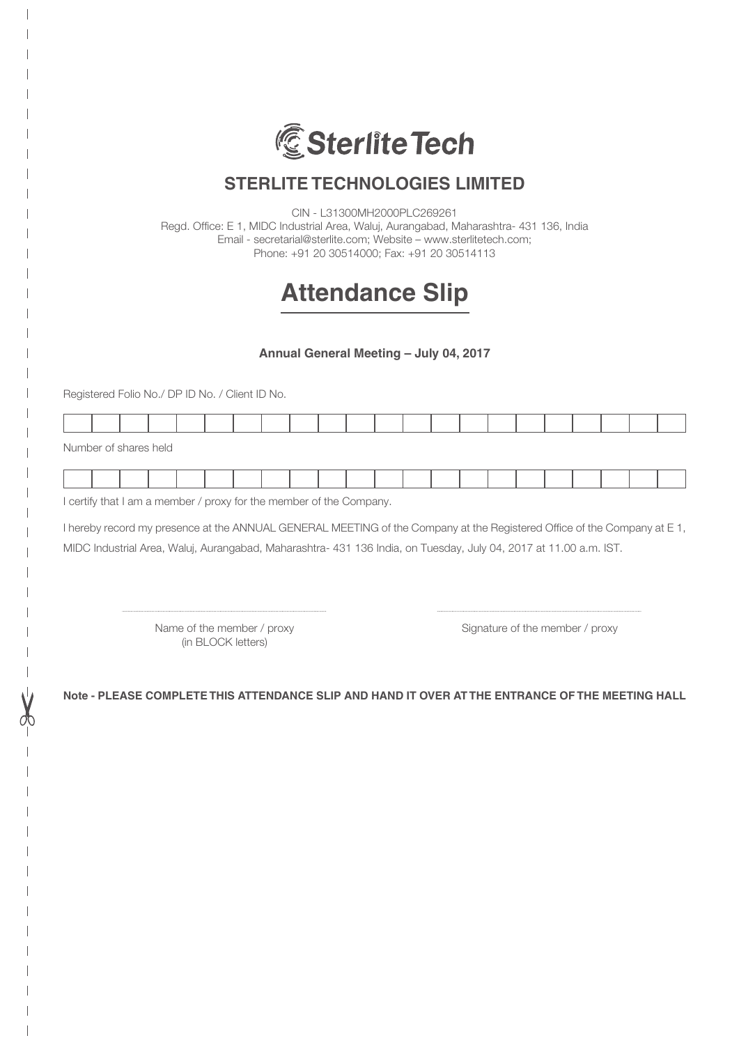

CIN - L31300MH2000PLC269261 Regd. Office: E 1, MIDC Industrial Area, Waluj, Aurangabad, Maharashtra- 431 136, India Email - secretarial@sterlite.com; Website – www.sterlitetech.com;

Phone: +91 20 30514000; Fax: +91 20 30514113

# **Attendance Slip**

**Annual General Meeting – July 04, 2017**

Registered Folio No./ DP ID No. / Client ID No.

|  |  |  |  |  | the contract of the contract of the contract of the contract of the contract of |  |  |  |  |  |
|--|--|--|--|--|---------------------------------------------------------------------------------|--|--|--|--|--|
|  |  |  |  |  |                                                                                 |  |  |  |  |  |

Number of shares held

| the contract of the contract of the contract of the contract of the contract of |  |  |  |  |  | . |  |  |  |  |
|---------------------------------------------------------------------------------|--|--|--|--|--|---|--|--|--|--|
|                                                                                 |  |  |  |  |  |   |  |  |  |  |

I certify that I am a member / proxy for the member of the Company.

I hereby record my presence at the ANNUAL GENERAL MEETING of the Company at the Registered Office of the Company at E 1, MIDC Industrial Area, Waluj, Aurangabad, Maharashtra- 431 136 India, on Tuesday, July 04, 2017 at 11.00 a.m. IST.

(in BLOCK letters)

Name of the member / proxy Signature of the member / proxy

**Note - PLEASE COMPLETE THIS ATTENDANCE SLIP AND HAND IT OVER AT THE ENTRANCE OF THE MEETING HALL**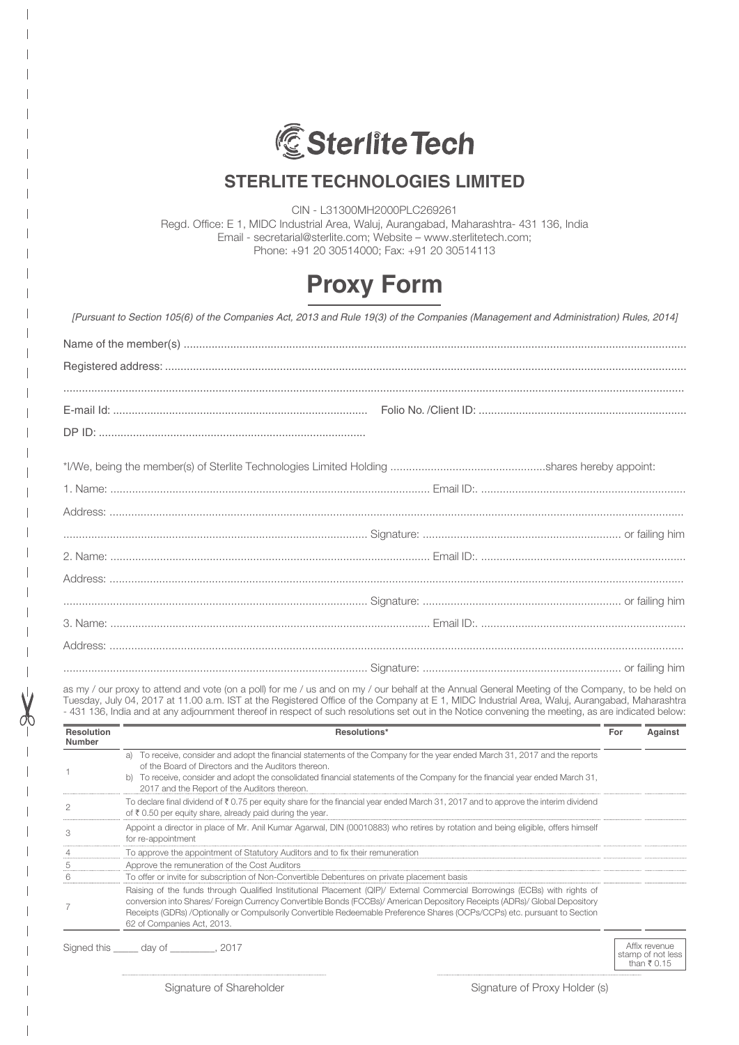

CIN - L31300MH2000PLC269261 Regd. Office: E 1, MIDC Industrial Area, Waluj, Aurangabad, Maharashtra- 431 136, India Email - secretarial@sterlite.com; Website – www.sterlitetech.com; Phone: +91 20 30514000; Fax: +91 20 30514113

# **Proxy Form**

| [Pursuant to Section 105(6) of the Companies Act, 2013 and Rule 19(3) of the Companies (Management and Administration) Rules, 2014] |
|-------------------------------------------------------------------------------------------------------------------------------------|
|                                                                                                                                     |
|                                                                                                                                     |
|                                                                                                                                     |
|                                                                                                                                     |
|                                                                                                                                     |
|                                                                                                                                     |
|                                                                                                                                     |
|                                                                                                                                     |
|                                                                                                                                     |
|                                                                                                                                     |
|                                                                                                                                     |
|                                                                                                                                     |
|                                                                                                                                     |
|                                                                                                                                     |
|                                                                                                                                     |
|                                                                                                                                     |
|                                                                                                                                     |

as my / our proxy to attend and vote (on a poll) for me / us and on my / our behalf at the Annual General Meeting of the Company, to be held on Tuesday, July 04, 2017 at 11.00 a.m. IST at the Registered Office of the Company at E 1, MIDC Industrial Area, Waluj, Aurangabad, Maharashtra - 431 136, India and at any adjournment thereof in respect of such resolutions set out in the Notice convening the meeting, as are indicated below:

| <b>Resolution</b><br>Number | Resolutions*                                                                                                                                                                                                                                                                                                                                                                                                     | For | Against                            |
|-----------------------------|------------------------------------------------------------------------------------------------------------------------------------------------------------------------------------------------------------------------------------------------------------------------------------------------------------------------------------------------------------------------------------------------------------------|-----|------------------------------------|
|                             | a) To receive, consider and adopt the financial statements of the Company for the year ended March 31, 2017 and the reports<br>of the Board of Directors and the Auditors thereon.<br>b) To receive, consider and adopt the consolidated financial statements of the Company for the financial year ended March 31,<br>2017 and the Report of the Auditors thereon.                                              |     |                                    |
|                             | To declare final dividend of $\bar{\tau}$ 0.75 per equity share for the financial year ended March 31, 2017 and to approve the interim dividend<br>of ₹ 0.50 per equity share, already paid during the year.                                                                                                                                                                                                     |     |                                    |
|                             | Appoint a director in place of Mr. Anil Kumar Agarwal, DIN (00010883) who retires by rotation and being eligible, offers himself<br>for re-appointment                                                                                                                                                                                                                                                           |     |                                    |
|                             | To approve the appointment of Statutory Auditors and to fix their remuneration                                                                                                                                                                                                                                                                                                                                   |     |                                    |
|                             | Approve the remuneration of the Cost Auditors                                                                                                                                                                                                                                                                                                                                                                    |     |                                    |
|                             | To offer or invite for subscription of Non-Convertible Debentures on private placement basis                                                                                                                                                                                                                                                                                                                     |     |                                    |
|                             | Raising of the funds through Qualified Institutional Placement (QIP)/ External Commercial Borrowings (ECBs) with rights of<br>conversion into Shares/Foreign Currency Convertible Bonds (FCCBs)/American Depository Receipts (ADRs)/Global Depository<br>Receipts (GDRs) /Optionally or Compulsorily Convertible Redeemable Preference Shares (OCPs/CCPs) etc. pursuant to Section<br>62 of Companies Act. 2013. |     |                                    |
|                             | Signed this day of _________, 2017                                                                                                                                                                                                                                                                                                                                                                               |     | Affix revenue<br>atamn of not loor |

Affix revenue<br>stamp of not less<br>than  $\bar{\tau}$  0.15